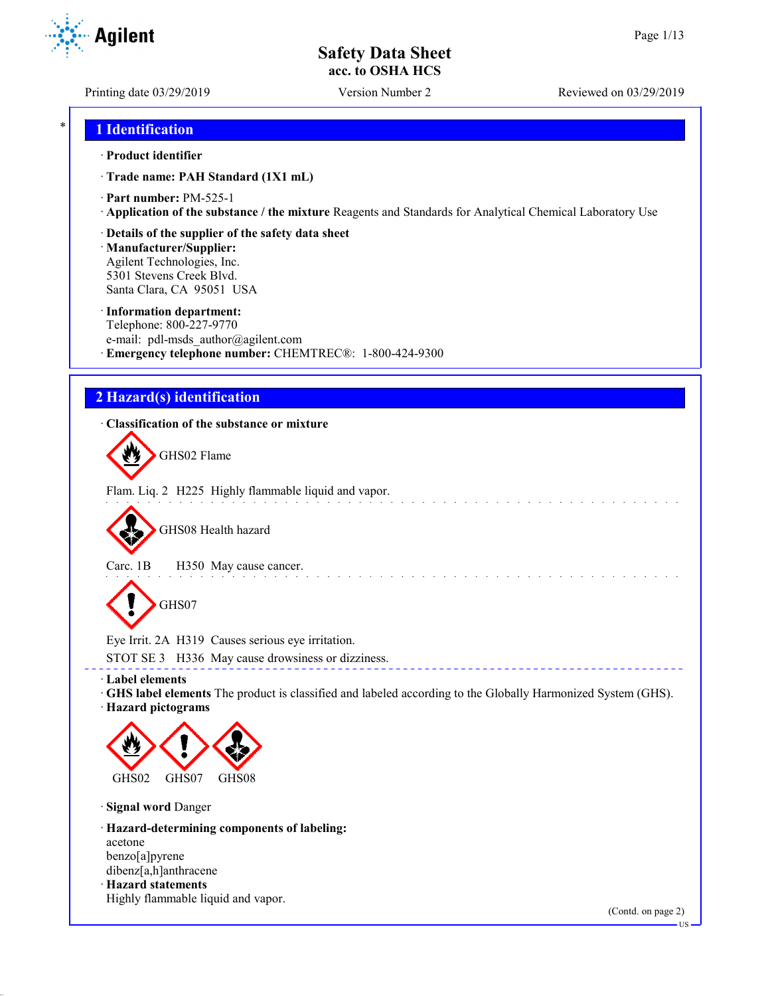**Agilent** 

Printing date 03/29/2019 Version Number 2 Reviewed on 03/29/2019

## \* **1 Identification**

#### · **Product identifier**

· **Trade name: PAH Standard (1X1 mL)**

· **Part number:** PM-525-1

· **Application of the substance / the mixture** Reagents and Standards for Analytical Chemical Laboratory Use

#### · **Details of the supplier of the safety data sheet**

· **Manufacturer/Supplier:** Agilent Technologies, Inc. 5301 Stevens Creek Blvd. Santa Clara, CA 95051 USA

#### · **Information department:**

Telephone: 800-227-9770 e-mail: pdl-msds author@agilent.com · **Emergency telephone number:** CHEMTREC®: 1-800-424-9300

## **2 Hazard(s) identification**

### · **Classification of the substance or mixture**

GHS02 Flame

Flam. Liq. 2 H225 Highly flammable liquid and vapor.

GHS08 Health hazard

Carc. 1B H350 May cause cancer.

GHS07

Eye Irrit. 2A H319 Causes serious eye irritation.

STOT SE 3 H336 May cause drowsiness or dizziness.

· **Label elements**

· **GHS label elements** The product is classified and labeled according to the Globally Harmonized System (GHS). · **Hazard pictograms**

and a series and a series of

\_\_\_\_\_\_\_\_\_\_\_\_\_\_\_\_\_\_\_\_\_\_\_\_\_\_\_\_\_\_\_\_



· **Signal word** Danger

· **Hazard-determining components of labeling:** acetone benzo[a]pyrene dibenz[a,h]anthracene · **Hazard statements** Highly flammable liquid and vapor.

(Contd. on page 2)

US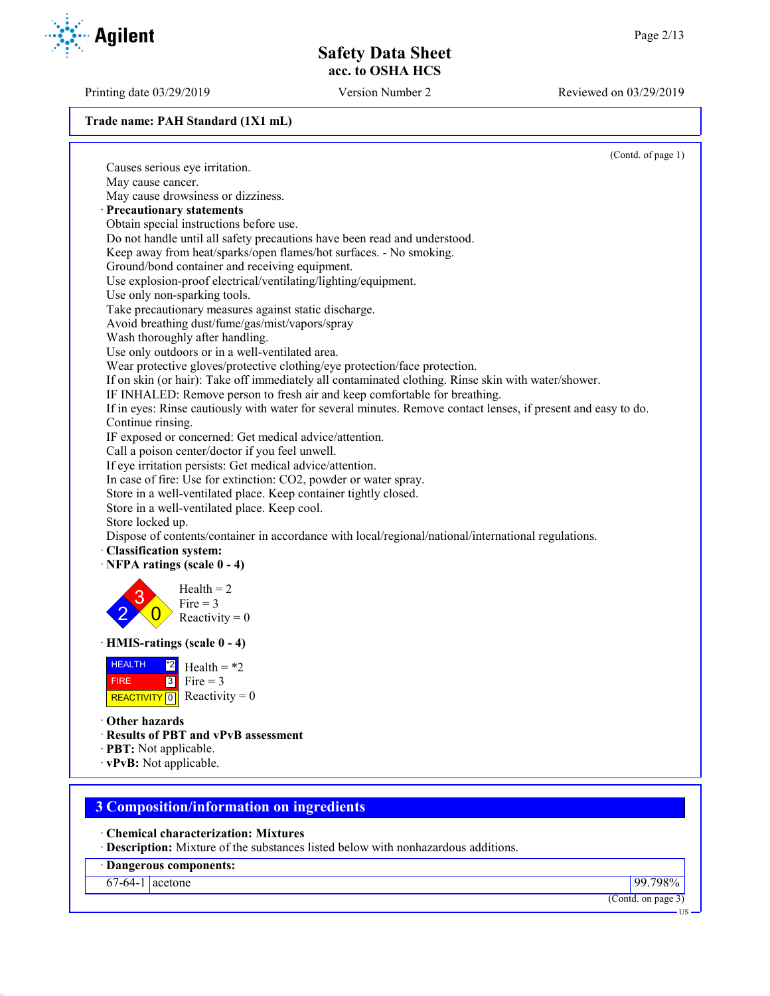Printing date 03/29/2019 Version Number 2 Reviewed on 03/29/2019

**Trade name: PAH Standard (1X1 mL)**

|                                                                                                                | (Contd. of page 1) |
|----------------------------------------------------------------------------------------------------------------|--------------------|
| Causes serious eye irritation.                                                                                 |                    |
| May cause cancer.                                                                                              |                    |
| May cause drowsiness or dizziness.                                                                             |                    |
| Precautionary statements                                                                                       |                    |
| Obtain special instructions before use.                                                                        |                    |
| Do not handle until all safety precautions have been read and understood.                                      |                    |
| Keep away from heat/sparks/open flames/hot surfaces. - No smoking.                                             |                    |
| Ground/bond container and receiving equipment.                                                                 |                    |
| Use explosion-proof electrical/ventilating/lighting/equipment.                                                 |                    |
| Use only non-sparking tools.                                                                                   |                    |
| Take precautionary measures against static discharge.                                                          |                    |
| Avoid breathing dust/fume/gas/mist/vapors/spray                                                                |                    |
| Wash thoroughly after handling.                                                                                |                    |
| Use only outdoors or in a well-ventilated area.                                                                |                    |
|                                                                                                                |                    |
| Wear protective gloves/protective clothing/eye protection/face protection.                                     |                    |
| If on skin (or hair): Take off immediately all contaminated clothing. Rinse skin with water/shower.            |                    |
| IF INHALED: Remove person to fresh air and keep comfortable for breathing.                                     |                    |
| If in eyes: Rinse cautiously with water for several minutes. Remove contact lenses, if present and easy to do. |                    |
| Continue rinsing.                                                                                              |                    |
| IF exposed or concerned: Get medical advice/attention.                                                         |                    |
| Call a poison center/doctor if you feel unwell.                                                                |                    |
| If eye irritation persists: Get medical advice/attention.                                                      |                    |
| In case of fire: Use for extinction: CO2, powder or water spray.                                               |                    |
| Store in a well-ventilated place. Keep container tightly closed.                                               |                    |
| Store in a well-ventilated place. Keep cool.                                                                   |                    |
| Store locked up.                                                                                               |                    |
| Dispose of contents/container in accordance with local/regional/national/international regulations.            |                    |
| · Classification system:                                                                                       |                    |
| $\cdot$ NFPA ratings (scale 0 - 4)                                                                             |                    |
| $Health = 2$                                                                                                   |                    |
| Fire $=$ 3                                                                                                     |                    |
| Reactivity = $0$                                                                                               |                    |
|                                                                                                                |                    |
| · HMIS-ratings (scale 0 - 4)                                                                                   |                    |
|                                                                                                                |                    |
| <b>HEALTH</b><br>$^{\ast 2}$<br>Health = $*2$                                                                  |                    |
| $\boxed{3}$<br>Fire $=$ 3<br><b>FIRE</b>                                                                       |                    |
| REACTIVITY 0 Reactivity = 0                                                                                    |                    |
|                                                                                                                |                    |
| Other hazards                                                                                                  |                    |
| · Results of PBT and vPvB assessment                                                                           |                    |
| · PBT: Not applicable.                                                                                         |                    |
| · vPvB: Not applicable.                                                                                        |                    |
|                                                                                                                |                    |
| <b>3 Composition/information on ingredients</b>                                                                |                    |
|                                                                                                                |                    |
| <b>Chemical characterization: Mixtures</b>                                                                     |                    |
| · Description: Mixture of the substances listed below with nonhazardous additions.                             |                    |
|                                                                                                                |                    |

· **Dangerous components:**

67-64-1 acetone 99.798%

(Contd. on page 3)

US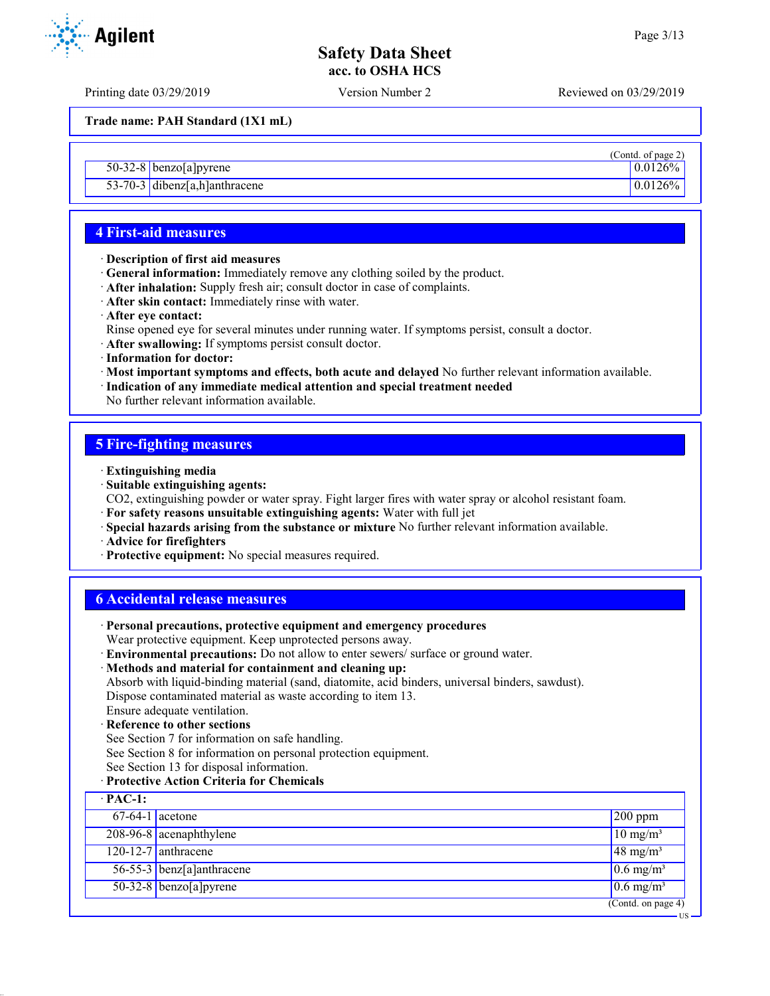(Contd. of page 2)

US

## **Safety Data Sheet acc. to OSHA HCS**

Printing date 03/29/2019 Version Number 2 Reviewed on 03/29/2019

**Trade name: PAH Standard (1X1 mL)**

50-32-8 benzo[a]pyrene 0.0126%

53-70-3 dibenz[a,h]anthracene 0.0126%

## **4 First-aid measures**

- · **Description of first aid measures**
- · **General information:** Immediately remove any clothing soiled by the product.
- · **After inhalation:** Supply fresh air; consult doctor in case of complaints.
- · **After skin contact:** Immediately rinse with water.
- · **After eye contact:**
- Rinse opened eye for several minutes under running water. If symptoms persist, consult a doctor.
- · **After swallowing:** If symptoms persist consult doctor.
- · **Information for doctor:**
- · **Most important symptoms and effects, both acute and delayed** No further relevant information available.
- · **Indication of any immediate medical attention and special treatment needed**

No further relevant information available.

### **5 Fire-fighting measures**

- · **Extinguishing media**
- · **Suitable extinguishing agents:**
- CO2, extinguishing powder or water spray. Fight larger fires with water spray or alcohol resistant foam.
- · **For safety reasons unsuitable extinguishing agents:** Water with full jet
- · **Special hazards arising from the substance or mixture** No further relevant information available.
- · **Advice for firefighters**
- · **Protective equipment:** No special measures required.

### **6 Accidental release measures**

- · **Personal precautions, protective equipment and emergency procedures** Wear protective equipment. Keep unprotected persons away.
- · **Environmental precautions:** Do not allow to enter sewers/ surface or ground water.

#### · **Methods and material for containment and cleaning up:**

Absorb with liquid-binding material (sand, diatomite, acid binders, universal binders, sawdust). Dispose contaminated material as waste according to item 13.

Ensure adequate ventilation.

## · **Reference to other sections**

See Section 7 for information on safe handling.

See Section 8 for information on personal protection equipment.

See Section 13 for disposal information.

#### · **Protective Action Criteria for Chemicals**

| $\cdot$ PAC-1:    |                             |                                  |
|-------------------|-----------------------------|----------------------------------|
| $67-64-1$ acetone |                             | $200$ ppm                        |
|                   | 208-96-8 acenaphthylene     | $10 \text{ mg/m}^3$              |
|                   | $120 - 12 - 7$ anthracene   | $48 \text{ mg/m}^3$              |
|                   | $56-55-3$ benz[a]anthracene | $0.6$ mg/m <sup>3</sup>          |
|                   | $50-32-8$ benzo[a] pyrene   | $0.6$ mg/m <sup>3</sup>          |
|                   |                             | (Contd. on page $\overline{4}$ ) |



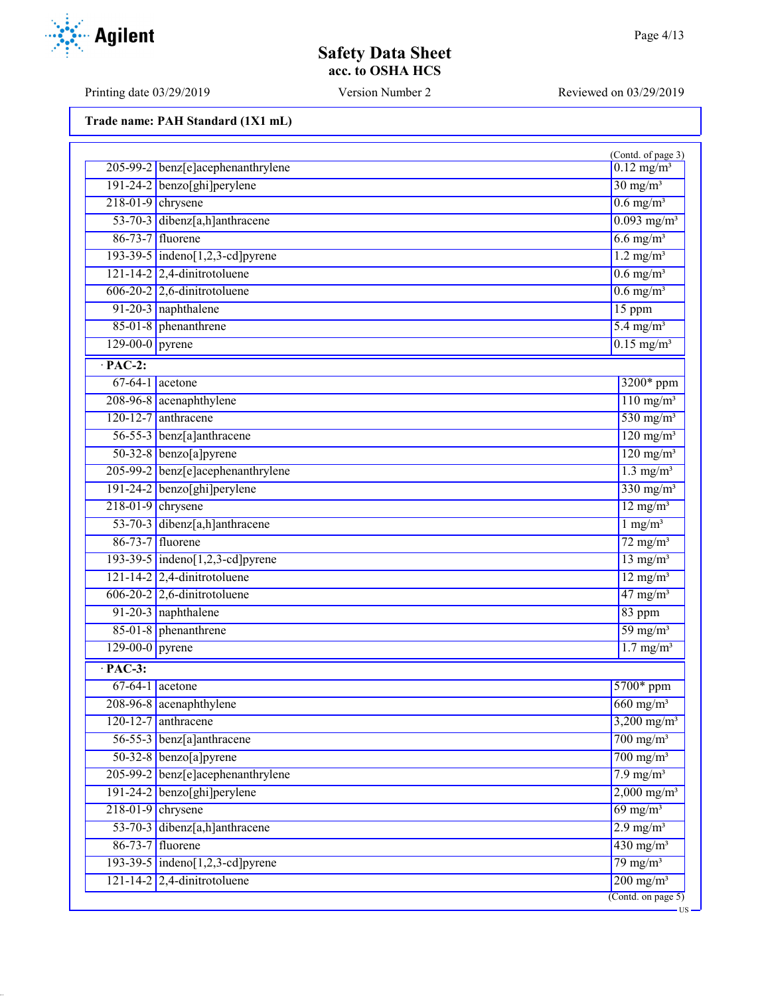US

## **Safety Data Sheet acc. to OSHA HCS**

Printing date 03/29/2019 Version Number 2 Reviewed on 03/29/2019

**Trade name: PAH Standard (1X1 mL)**

|                       |                                    | (Contd. of page 3)        |
|-----------------------|------------------------------------|---------------------------|
|                       | 205-99-2 benz[e]acephenanthrylene  | $0.12 \text{ mg/m}^3$     |
|                       | 191-24-2 benzo[ghi]perylene        | $30 \text{ mg/m}^3$       |
| $218-01-9$ chrysene   |                                    | $0.6$ mg/m <sup>3</sup>   |
|                       | 53-70-3 dibenz[a,h]anthracene      | $0.093$ mg/m <sup>3</sup> |
| 86-73-7 fluorene      |                                    | $6.6$ mg/m <sup>3</sup>   |
|                       | $193-39-5$ indeno[1,2,3-cd] pyrene | $1.2$ mg/m <sup>3</sup>   |
|                       | $121 - 14 - 2$ 2,4-dinitrotoluene  | $0.6$ mg/m <sup>3</sup>   |
|                       | $606-20-2$ 2,6-dinitrotoluene      | $0.6$ mg/m <sup>3</sup>   |
|                       | 91-20-3 naphthalene                | 15 ppm                    |
|                       | 85-01-8 phenanthrene               | $5.4 \text{ mg/m}^3$      |
| $129-00-0$ pyrene     |                                    | $0.15$ mg/m <sup>3</sup>  |
| $\cdot$ PAC-2:        |                                    |                           |
| $67-64-1$ acetone     |                                    | 3200* ppm                 |
|                       | 208-96-8 acenaphthylene            | $110$ mg/m <sup>3</sup>   |
| $120-12-7$ anthracene |                                    | 530 mg/m <sup>3</sup>     |
|                       | 56-55-3 benz[a]anthracene          | $120$ mg/m <sup>3</sup>   |
|                       | $50-32-8$ benzo[a]pyrene           | $120$ mg/m <sup>3</sup>   |
|                       | 205-99-2 benz[e]acephenanthrylene  | $1.3$ mg/m <sup>3</sup>   |
|                       | 191-24-2 benzo[ghi]perylene        | $330$ mg/m <sup>3</sup>   |
| $218-01-9$ chrysene   |                                    | $12 \text{ mg/m}^3$       |
|                       | 53-70-3 dibenz[a,h]anthracene      | $1$ mg/m <sup>3</sup>     |
| 86-73-7 fluorene      |                                    | $72 \text{ mg/m}^3$       |
|                       | 193-39-5 indeno[1,2,3-cd]pyrene    | $13$ mg/m <sup>3</sup>    |
|                       | $121 - 14 - 2$ 2,4-dinitrotoluene  | $12$ mg/m <sup>3</sup>    |
|                       | $606-20-2$ 2,6-dinitrotoluene      | $47$ mg/m <sup>3</sup>    |
|                       | 91-20-3 naphthalene                | 83 ppm                    |
|                       | 85-01-8 phenanthrene               | $59 \text{ mg/m}^3$       |
| $129-00-0$ pyrene     |                                    | $1.7$ mg/m <sup>3</sup>   |
| $\cdot$ PAC-3:        |                                    |                           |
| $67-64-1$ acetone     |                                    | 5700* ppm                 |
|                       | 208-96-8 acenaphthylene            | $660$ mg/m <sup>3</sup>   |
| 120-12-7 anthracene   |                                    | $3,200 \text{ mg/m}^3$    |
|                       | 56-55-3 benz[a]anthracene          | $700$ mg/m <sup>3</sup>   |
|                       | $50-32-8$ benzo[a] pyrene          | $700$ mg/m <sup>3</sup>   |
|                       | 205-99-2 benz[e]acephenanthrylene  | $7.9$ mg/m <sup>3</sup>   |
|                       | $191-24-2$ benzo[ghi]perylene      | $2,000 \text{ mg/m}^3$    |
| $218-01-9$ chrysene   |                                    | $69$ mg/m <sup>3</sup>    |
|                       | 53-70-3 dibenz[a,h]anthracene      | $2.9$ mg/m <sup>3</sup>   |
| 86-73-7 fluorene      |                                    | $430$ mg/m <sup>3</sup>   |
|                       | 193-39-5 indeno[1,2,3-cd] pyrene   | $79 \text{ mg/m}^3$       |
|                       | $121 - 14 - 2$ 2,4-dinitrotoluene  | $200 \text{ mg/m}^3$      |
|                       |                                    | $($ Contd. on page 5 $)$  |

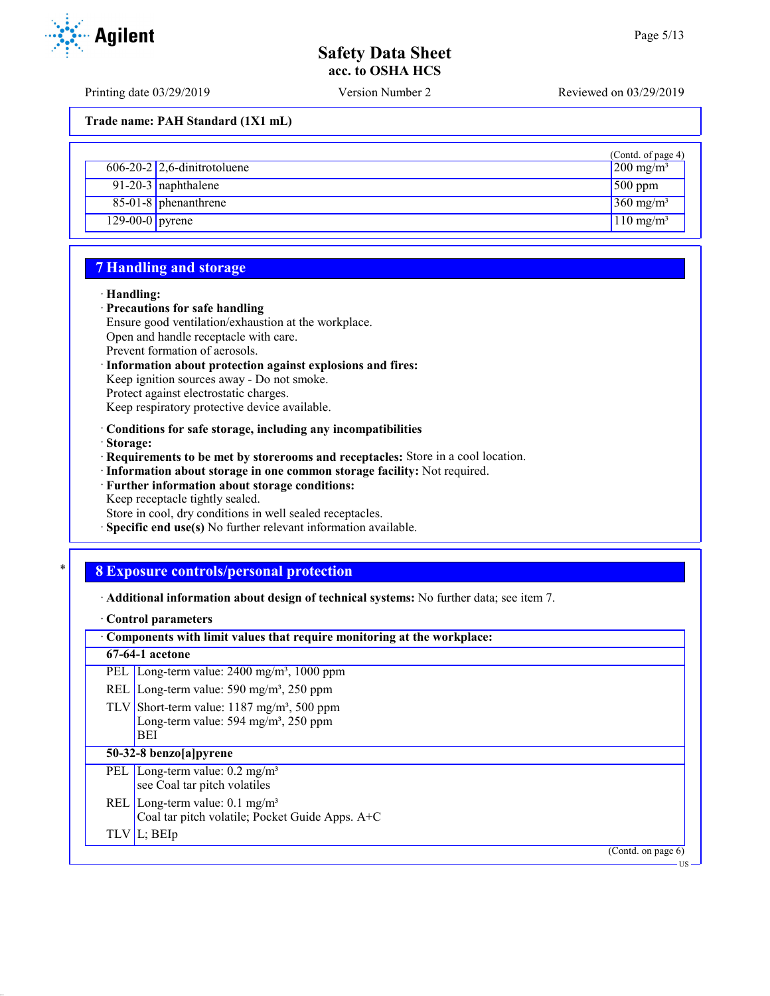US

## **Safety Data Sheet acc. to OSHA HCS**

Printing date 03/29/2019 Version Number 2 Reviewed on 03/29/2019

**Trade name: PAH Standard (1X1 mL)**

| $606-20-2$ 2,6-dinitrotoluene | (Contd. of page 4)<br>$200 \text{ mg/m}^3$ |
|-------------------------------|--------------------------------------------|
| 91-20-3 naphthalene           | $500$ ppm                                  |
| 85-01-8 phenanthrene          | $360$ mg/m <sup>3</sup>                    |
| $129-00-0$ pyrene             | $110$ mg/m <sup>3</sup>                    |

## **7 Handling and storage**

#### · **Handling:**

#### · **Precautions for safe handling**

- Ensure good ventilation/exhaustion at the workplace. Open and handle receptacle with care.
- Prevent formation of aerosols.
- · **Information about protection against explosions and fires:**

Keep ignition sources away - Do not smoke.

Protect against electrostatic charges.

Keep respiratory protective device available.

· **Conditions for safe storage, including any incompatibilities**

· **Storage:**

· **Requirements to be met by storerooms and receptacles:** Store in a cool location.

- · **Information about storage in one common storage facility:** Not required.
- · **Further information about storage conditions:** Keep receptacle tightly sealed.

Store in cool, dry conditions in well sealed receptacles.

· **Specific end use(s)** No further relevant information available.

## \* **8 Exposure controls/personal protection**

· **Additional information about design of technical systems:** No further data; see item 7.

· **Control parameters**

| Components with limit values that require monitoring at the workplace: |  |  |
|------------------------------------------------------------------------|--|--|
| 67-64-1 acetone                                                        |  |  |
| PEL Long-term value: $2400 \text{ mg/m}^3$ , 1000 ppm                  |  |  |
| REL Long-term value: $590 \text{ mg/m}^3$ , $250 \text{ ppm}$          |  |  |
| TLV Short-term value: $1187 \text{ mg/m}^3$ , 500 ppm                  |  |  |
| Long-term value: 594 mg/m <sup>3</sup> , 250 ppm                       |  |  |
| <b>BEI</b>                                                             |  |  |
| 50-32-8 benzo[a]pyrene                                                 |  |  |
| PEL Long-term value: $0.2 \text{ mg/m}^3$                              |  |  |
| see Coal tar pitch volatiles                                           |  |  |
| REL Long-term value: $0.1 \text{ mg/m}^3$                              |  |  |
| Coal tar pitch volatile; Pocket Guide Apps. A+C                        |  |  |
| TLV L; BEIp                                                            |  |  |
| (Contd. on page $6$ )                                                  |  |  |

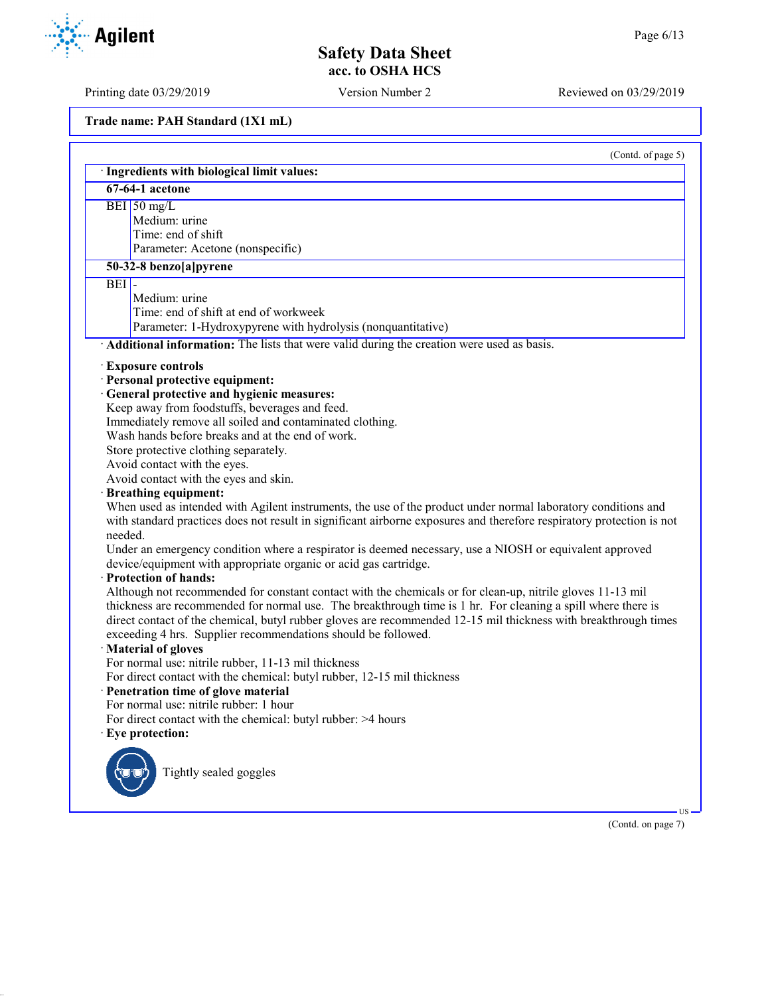Printing date 03/29/2019 Version Number 2 Reviewed on 03/29/2019

**Trade name: PAH Standard (1X1 mL)**

|         | · Ingredients with biological limit values:                                                                                                                                                                                                                                                                                                   |
|---------|-----------------------------------------------------------------------------------------------------------------------------------------------------------------------------------------------------------------------------------------------------------------------------------------------------------------------------------------------|
|         | 67-64-1 acetone                                                                                                                                                                                                                                                                                                                               |
|         | $BEI$ 50 mg/L                                                                                                                                                                                                                                                                                                                                 |
|         | Medium: urine                                                                                                                                                                                                                                                                                                                                 |
|         | Time: end of shift                                                                                                                                                                                                                                                                                                                            |
|         | Parameter: Acetone (nonspecific)                                                                                                                                                                                                                                                                                                              |
|         | 50-32-8 benzo[a]pyrene                                                                                                                                                                                                                                                                                                                        |
| BEI     |                                                                                                                                                                                                                                                                                                                                               |
|         | Medium: urine                                                                                                                                                                                                                                                                                                                                 |
|         | Time: end of shift at end of workweek                                                                                                                                                                                                                                                                                                         |
|         | Parameter: 1-Hydroxypyrene with hydrolysis (nonquantitative)                                                                                                                                                                                                                                                                                  |
|         | · Additional information: The lists that were valid during the creation were used as basis.                                                                                                                                                                                                                                                   |
|         | · Exposure controls                                                                                                                                                                                                                                                                                                                           |
|         | · Personal protective equipment:                                                                                                                                                                                                                                                                                                              |
|         | · General protective and hygienic measures:                                                                                                                                                                                                                                                                                                   |
|         | Keep away from foodstuffs, beverages and feed.                                                                                                                                                                                                                                                                                                |
|         | Immediately remove all soiled and contaminated clothing.                                                                                                                                                                                                                                                                                      |
|         | Wash hands before breaks and at the end of work.                                                                                                                                                                                                                                                                                              |
|         | Store protective clothing separately.                                                                                                                                                                                                                                                                                                         |
|         | Avoid contact with the eyes.                                                                                                                                                                                                                                                                                                                  |
|         | Avoid contact with the eyes and skin.                                                                                                                                                                                                                                                                                                         |
|         | · Breathing equipment:                                                                                                                                                                                                                                                                                                                        |
| needed. | When used as intended with Agilent instruments, the use of the product under normal laboratory conditions and<br>with standard practices does not result in significant airborne exposures and therefore respiratory protection is not                                                                                                        |
|         |                                                                                                                                                                                                                                                                                                                                               |
|         | Under an emergency condition where a respirator is deemed necessary, use a NIOSH or equivalent approved<br>device/equipment with appropriate organic or acid gas cartridge.                                                                                                                                                                   |
|         | · Protection of hands:                                                                                                                                                                                                                                                                                                                        |
|         | Although not recommended for constant contact with the chemicals or for clean-up, nitrile gloves 11-13 mil<br>thickness are recommended for normal use. The breakthrough time is 1 hr. For cleaning a spill where there is<br>direct contact of the chemical, butyl rubber gloves are recommended 12-15 mil thickness with breakthrough times |
|         | exceeding 4 hrs. Supplier recommendations should be followed.                                                                                                                                                                                                                                                                                 |
|         | · Material of gloves                                                                                                                                                                                                                                                                                                                          |
|         | For normal use: nitrile rubber, 11-13 mil thickness                                                                                                                                                                                                                                                                                           |
|         | For direct contact with the chemical: butyl rubber, 12-15 mil thickness                                                                                                                                                                                                                                                                       |
|         | · Penetration time of glove material                                                                                                                                                                                                                                                                                                          |
|         | For normal use: nitrile rubber: 1 hour                                                                                                                                                                                                                                                                                                        |
|         | For direct contact with the chemical: butyl rubber: >4 hours                                                                                                                                                                                                                                                                                  |
|         | · Eye protection:                                                                                                                                                                                                                                                                                                                             |
|         |                                                                                                                                                                                                                                                                                                                                               |
|         | Tightly sealed goggles                                                                                                                                                                                                                                                                                                                        |
|         |                                                                                                                                                                                                                                                                                                                                               |
|         |                                                                                                                                                                                                                                                                                                                                               |



US

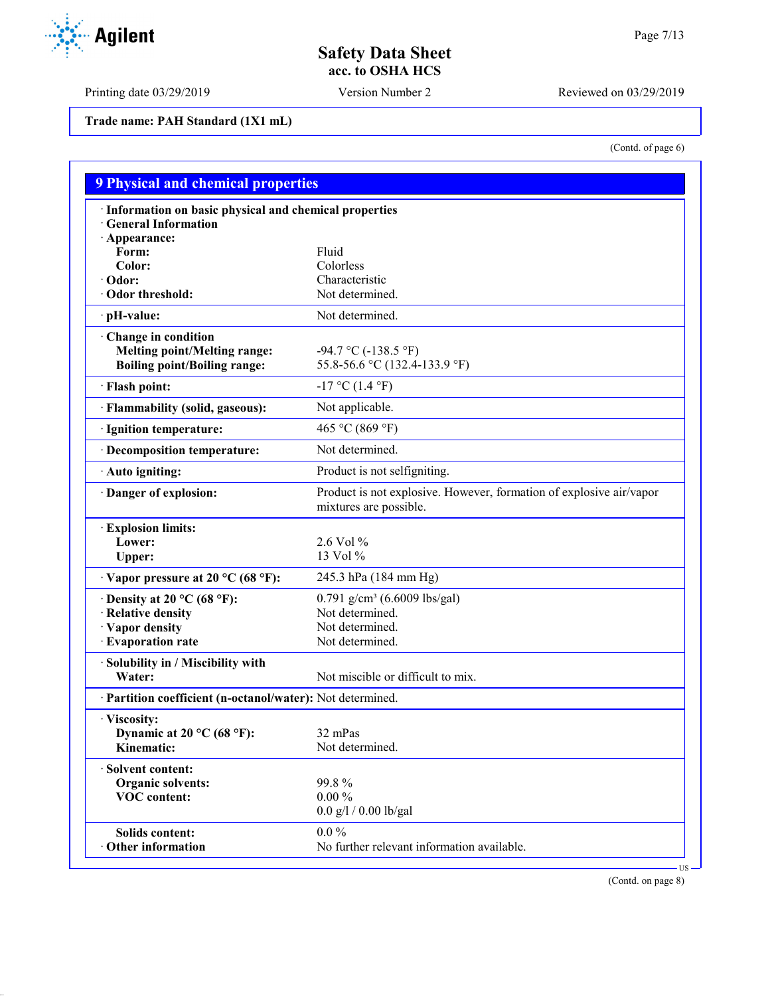Printing date 03/29/2019 Version Number 2 Reviewed on 03/29/2019

**Trade name: PAH Standard (1X1 mL)**

(Contd. of page 6)

| · Information on basic physical and chemical properties    |                                                                                               |
|------------------------------------------------------------|-----------------------------------------------------------------------------------------------|
| <b>General Information</b>                                 |                                                                                               |
| · Appearance:<br>Form:                                     | Fluid                                                                                         |
| Color:                                                     | Colorless                                                                                     |
| $\cdot$ Odor:                                              | Characteristic                                                                                |
| Odor threshold:                                            | Not determined.                                                                               |
| · pH-value:                                                | Not determined.                                                                               |
| Change in condition                                        |                                                                                               |
| <b>Melting point/Melting range:</b>                        | $-94.7 \text{ °C}$ ( $-138.5 \text{ °F}$ )                                                    |
| <b>Boiling point/Boiling range:</b>                        | 55.8-56.6 °C (132.4-133.9 °F)                                                                 |
| · Flash point:                                             | $-17$ °C (1.4 °F)                                                                             |
| · Flammability (solid, gaseous):                           | Not applicable.                                                                               |
| · Ignition temperature:                                    | 465 °C (869 °F)                                                                               |
| · Decomposition temperature:                               | Not determined.                                                                               |
| · Auto igniting:                                           | Product is not selfigniting.                                                                  |
| Danger of explosion:                                       | Product is not explosive. However, formation of explosive air/vapor<br>mixtures are possible. |
| · Explosion limits:                                        |                                                                                               |
| Lower:                                                     | 2.6 Vol %                                                                                     |
| Upper:                                                     | 13 Vol %                                                                                      |
| $\cdot$ Vapor pressure at 20 °C (68 °F):                   | 245.3 hPa (184 mm Hg)                                                                         |
| $\cdot$ Density at 20 °C (68 °F):                          | 0.791 g/cm <sup>3</sup> (6.6009 lbs/gal)                                                      |
| · Relative density                                         | Not determined.                                                                               |
| · Vapor density                                            | Not determined.                                                                               |
| · Evaporation rate                                         | Not determined.                                                                               |
| · Solubility in / Miscibility with                         |                                                                                               |
| Water:                                                     | Not miscible or difficult to mix.                                                             |
| · Partition coefficient (n-octanol/water): Not determined. |                                                                                               |
| · Viscosity:                                               |                                                                                               |
| Dynamic at 20 °C (68 °F):                                  | 32 mPas                                                                                       |
| Kinematic:                                                 | Not determined.                                                                               |
| · Solvent content:                                         |                                                                                               |
| 99.8%<br><b>Organic solvents:</b>                          |                                                                                               |
| <b>VOC</b> content:                                        | $0.00\%$                                                                                      |
|                                                            | $0.0$ g/l / 0.00 lb/gal                                                                       |
| <b>Solids content:</b>                                     | $0.0\%$                                                                                       |
| · Other information                                        | No further relevant information available.                                                    |

(Contd. on page 8)

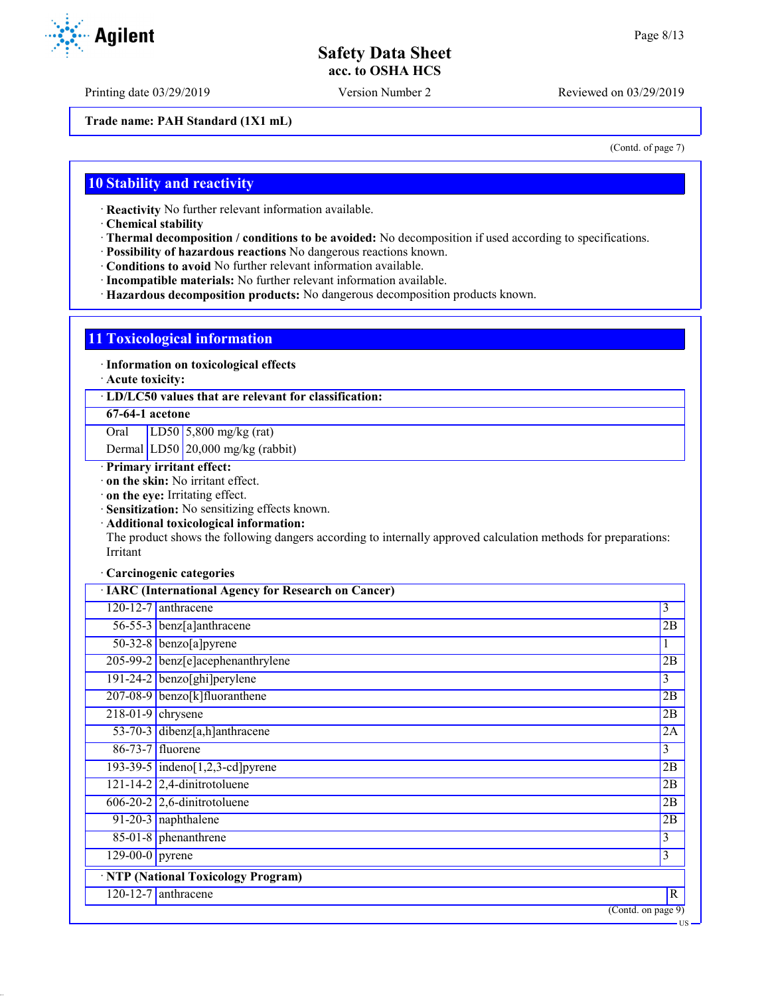Printing date 03/29/2019 Version Number 2 Reviewed on 03/29/2019

**Trade name: PAH Standard (1X1 mL)**

(Contd. of page 7)

US

## **10 Stability and reactivity**

· **Reactivity** No further relevant information available.

· **Chemical stability**

- · **Thermal decomposition / conditions to be avoided:** No decomposition if used according to specifications.
- · **Possibility of hazardous reactions** No dangerous reactions known.

· **Conditions to avoid** No further relevant information available.

- · **Incompatible materials:** No further relevant information available.
- · **Hazardous decomposition products:** No dangerous decomposition products known.

#### **11 Toxicological information**

· **Information on toxicological effects**

· **Acute toxicity:**

· **LD/LC50 values that are relevant for classification:**

#### **67-64-1 acetone**

Oral LD50 5,800 mg/kg (rat)

Dermal LD50 20,000 mg/kg (rabbit)

- · **Primary irritant effect:**
- · **on the skin:** No irritant effect.

· **on the eye:** Irritating effect.

- · **Sensitization:** No sensitizing effects known.
- · **Additional toxicological information:**

The product shows the following dangers according to internally approved calculation methods for preparations: Irritant

#### · **Carcinogenic categories**

|                              | · IARC (International Agency for Research on Cancer) |                    |
|------------------------------|------------------------------------------------------|--------------------|
|                              | 120-12-7 anthracene                                  | 3                  |
|                              | 56-55-3 benz[a]anthracene                            | 2B                 |
|                              | $50-32-8$ benzo[a] pyrene                            | 1                  |
|                              | 205-99-2 benz[e]acephenanthrylene                    | 2B                 |
|                              | 191-24-2 benzo[ghi]perylene                          | 3                  |
|                              | 207-08-9 benzo[k]fluoranthene                        | 2B                 |
| $218-01-9$ chrysene          |                                                      | 2B                 |
|                              | 53-70-3 dibenz[a,h]anthracene                        | 2A                 |
|                              | 86-73-7 fluorene                                     | 3                  |
|                              | 193-39-5 $indeno[1,2,3-cd]pyrene$                    | 2B                 |
|                              | $121 - 14 - 2$ 2,4-dinitrotoluene                    | 2B                 |
|                              | $606-20-2$ 2,6-dinitrotoluene                        | 2B                 |
|                              | 91-20-3 naphthalene                                  | 2B                 |
|                              | $85-01-8$ phenanthrene                               | 3                  |
| $\overline{129-00-0}$ pyrene |                                                      | 3                  |
|                              | · NTP (National Toxicology Program)                  |                    |
|                              | $120 - 12 - 7$ anthracene                            | $\overline{R}$     |
|                              |                                                      | (Contd. on page 9) |

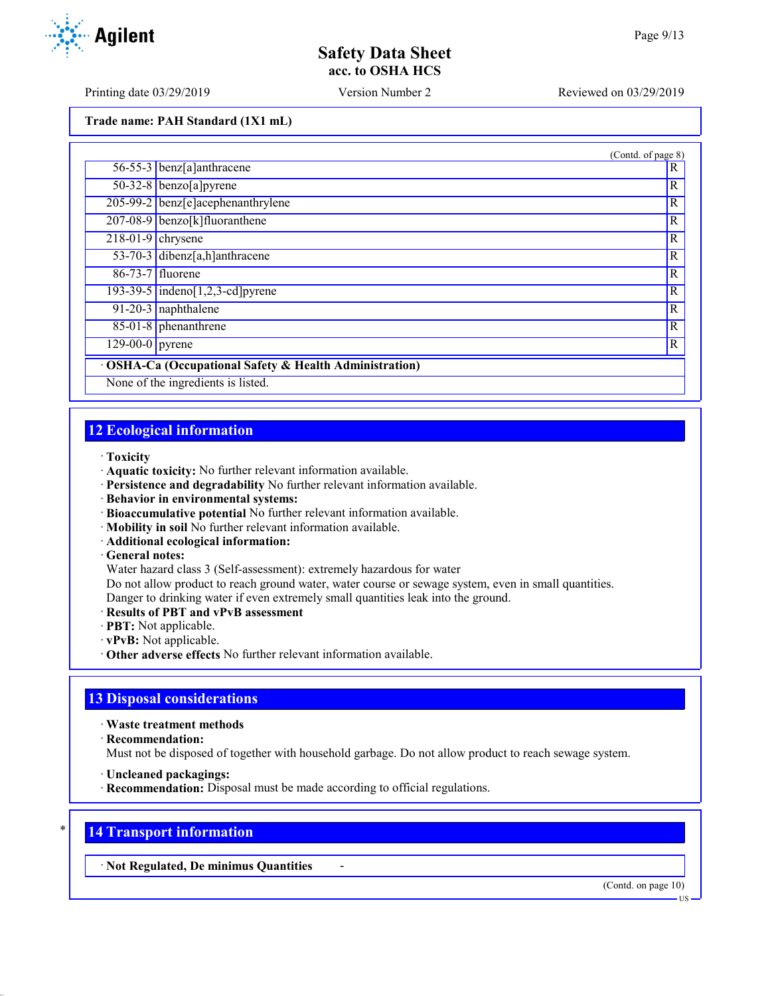Printing date 03/29/2019 Version Number 2 Reviewed on 03/29/2019

**Trade name: PAH Standard (1X1 mL)**

|                     |                                                                                                | (Contd. of page 8) |
|---------------------|------------------------------------------------------------------------------------------------|--------------------|
|                     | 56-55-3 benz[a]anthracene                                                                      | R                  |
|                     | $50-32-8$ benzo[a] pyrene                                                                      | R                  |
|                     | 205-99-2 benz[e]acephenanthrylene                                                              | R                  |
|                     | 207-08-9 benzo[k]fluoranthene                                                                  | R                  |
| $218-01-9$ chrysene |                                                                                                | R                  |
|                     | 53-70-3 dibenz[a,h]anthracene                                                                  | R                  |
|                     | 86-73-7 fluorene                                                                               | R                  |
|                     | 193-39-5 indeno[1,2,3-cd] pyrene                                                               | R                  |
|                     | $91-20-3$ naphthalene                                                                          | R                  |
|                     | $85-01-8$ phenanthrene                                                                         | R                  |
| $129-00-0$ pyrene   |                                                                                                | R                  |
|                     | OSHA-Ca (Occupational Safety & Health Administration)<br>Manager Pulse (manager) and the House |                    |

None of the ingredients is listed.

## **12 Ecological information**

#### · **Toxicity**

- · **Aquatic toxicity:** No further relevant information available.
- · **Persistence and degradability** No further relevant information available.
- · **Behavior in environmental systems:**
- · **Bioaccumulative potential** No further relevant information available.
- · **Mobility in soil** No further relevant information available.
- · **Additional ecological information:**
- · **General notes:**

Water hazard class 3 (Self-assessment): extremely hazardous for water

Do not allow product to reach ground water, water course or sewage system, even in small quantities.

- Danger to drinking water if even extremely small quantities leak into the ground.
- · **Results of PBT and vPvB assessment**
- · **PBT:** Not applicable.
- · **vPvB:** Not applicable.
- · **Other adverse effects** No further relevant information available.

## **13 Disposal considerations**

- · **Waste treatment methods**
- · **Recommendation:**

Must not be disposed of together with household garbage. Do not allow product to reach sewage system.

- · **Uncleaned packagings:**
- · **Recommendation:** Disposal must be made according to official regulations.

## **14 Transport information**

· **Not Regulated, De minimus Quantities** -

(Contd. on page 10)



US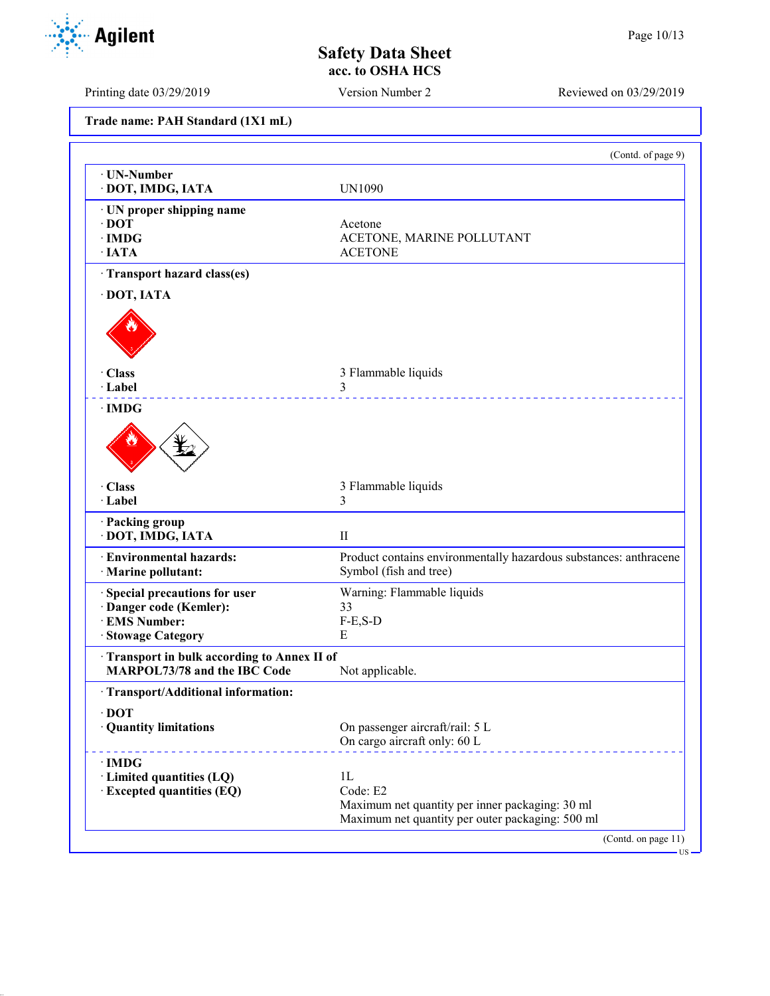Printing date 03/29/2019 Version Number 2 Reviewed on 03/29/2019

| Trade name: PAH Standard (1X1 mL) |  |  |  |  |
|-----------------------------------|--|--|--|--|
|-----------------------------------|--|--|--|--|

|                                                                                                | (Contd. of page 9)                                                                                                    |
|------------------------------------------------------------------------------------------------|-----------------------------------------------------------------------------------------------------------------------|
| · UN-Number<br>· DOT, IMDG, IATA                                                               | <b>UN1090</b>                                                                                                         |
| · UN proper shipping name<br>$\cdot$ DOT<br>$\cdot$ IMDG<br>$\cdot$ IATA                       | Acetone<br>ACETONE, MARINE POLLUTANT<br><b>ACETONE</b>                                                                |
| Transport hazard class(es)                                                                     |                                                                                                                       |
| · DOT, IATA                                                                                    |                                                                                                                       |
|                                                                                                |                                                                                                                       |
| · Class                                                                                        | 3 Flammable liquids                                                                                                   |
| · Label                                                                                        | 3                                                                                                                     |
| $\cdot$ IMDG                                                                                   |                                                                                                                       |
| · Class<br>· Label                                                                             | 3 Flammable liquids<br>3                                                                                              |
| · Packing group<br>· DOT, IMDG, IATA                                                           | $\mathbf{I}$                                                                                                          |
| · Environmental hazards:<br>· Marine pollutant:                                                | Product contains environmentally hazardous substances: anthracene<br>Symbol (fish and tree)                           |
| Special precautions for user<br>· Danger code (Kemler):<br>· EMS Number:<br>· Stowage Category | Warning: Flammable liquids<br>33<br>$F-E, S-D$<br>E                                                                   |
| Transport in bulk according to Annex II of<br>MARPOL73/78 and the IBC Code                     | Not applicable.                                                                                                       |
| · Transport/Additional information:                                                            |                                                                                                                       |
| $\cdot$ DOT<br>· Quantity limitations                                                          | On passenger aircraft/rail: 5 L<br>On cargo aircraft only: 60 L                                                       |
| $\cdot$ IMDG<br>· Limited quantities (LQ)<br><b>Excepted quantities (EQ)</b>                   | 1L<br>Code: E2<br>Maximum net quantity per inner packaging: 30 ml<br>Maximum net quantity per outer packaging: 500 ml |
|                                                                                                | (Contd. on page 11)                                                                                                   |

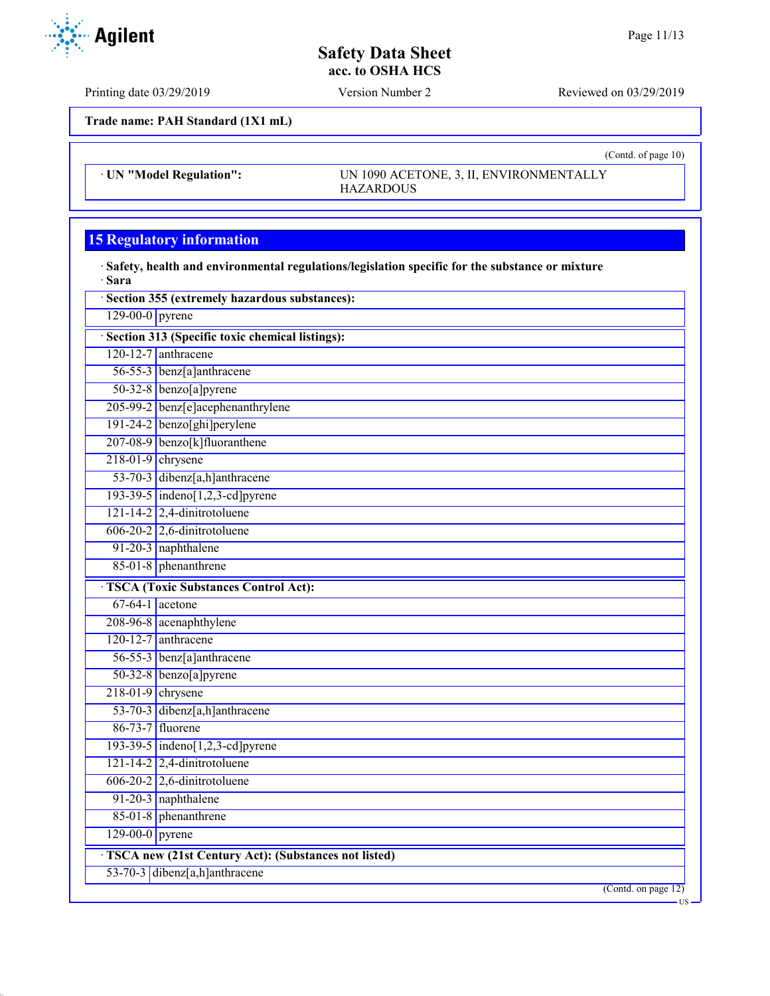Printing date 03/29/2019 Version Number 2 Reviewed on 03/29/2019

**Trade name: PAH Standard (1X1 mL)**

· **UN "Model Regulation":** UN 1090 ACETONE, 3, II, ENVIRONMENTALLY HAZARDOUS

## **15 Regulatory information**

· **Safety, health and environmental regulations/legislation specific for the substance or mixture** · **Sara**

|                                                 | Section 355 (extremely hazardous substances):        |  |  |
|-------------------------------------------------|------------------------------------------------------|--|--|
| $129-00-0$ pyrene                               |                                                      |  |  |
| Section 313 (Specific toxic chemical listings): |                                                      |  |  |
|                                                 | $120-12-7$ anthracene                                |  |  |
|                                                 | 56-55-3 benz[a]anthracene                            |  |  |
|                                                 | 50-32-8 benzo[a]pyrene                               |  |  |
|                                                 | 205-99-2 benz[e]acephenanthrylene                    |  |  |
|                                                 | $191-24-2$ benzo[ghi]perylene                        |  |  |
|                                                 | 207-08-9 benzo[k]fluoranthene                        |  |  |
|                                                 | $218-01-9$ chrysene                                  |  |  |
|                                                 | 53-70-3 dibenz[a,h]anthracene                        |  |  |
|                                                 | 193-39-5 indeno[1,2,3-cd] pyrene                     |  |  |
|                                                 | $121 - 14 - 2$ 2,4-dinitrotoluene                    |  |  |
|                                                 | $606-20-2$ 2,6-dinitrotoluene                        |  |  |
|                                                 | 91-20-3 naphthalene                                  |  |  |
|                                                 | 85-01-8 phenanthrene                                 |  |  |
|                                                 | <b>TSCA</b> (Toxic Substances Control Act):          |  |  |
|                                                 | $67-64-1$ acetone                                    |  |  |
|                                                 | 208-96-8 acenaphthylene                              |  |  |
|                                                 | $120-12-7$ anthracene                                |  |  |
|                                                 | 56-55-3 benz[a]anthracene                            |  |  |
|                                                 | 50-32-8 benzo[a]pyrene                               |  |  |
|                                                 | $218-01-9$ chrysene                                  |  |  |
|                                                 | 53-70-3 dibenz[a,h]anthracene                        |  |  |
|                                                 | 86-73-7 fluorene                                     |  |  |
|                                                 | $193-39-5$ indeno[1,2,3-cd] pyrene                   |  |  |
|                                                 | $121 - 14 - 2$ 2,4-dinitrotoluene                    |  |  |
|                                                 | $606-20-2$ 2,6-dinitrotoluene                        |  |  |
|                                                 | 91-20-3 naphthalene                                  |  |  |
|                                                 | 85-01-8 phenanthrene                                 |  |  |
| $129-00-0$ pyrene                               |                                                      |  |  |
|                                                 | TSCA new (21st Century Act): (Substances not listed) |  |  |
|                                                 | 53-70-3 dibenz[a,h]anthracene                        |  |  |
|                                                 | (Cond. on page 12)                                   |  |  |
|                                                 |                                                      |  |  |



(Contd. of page 10)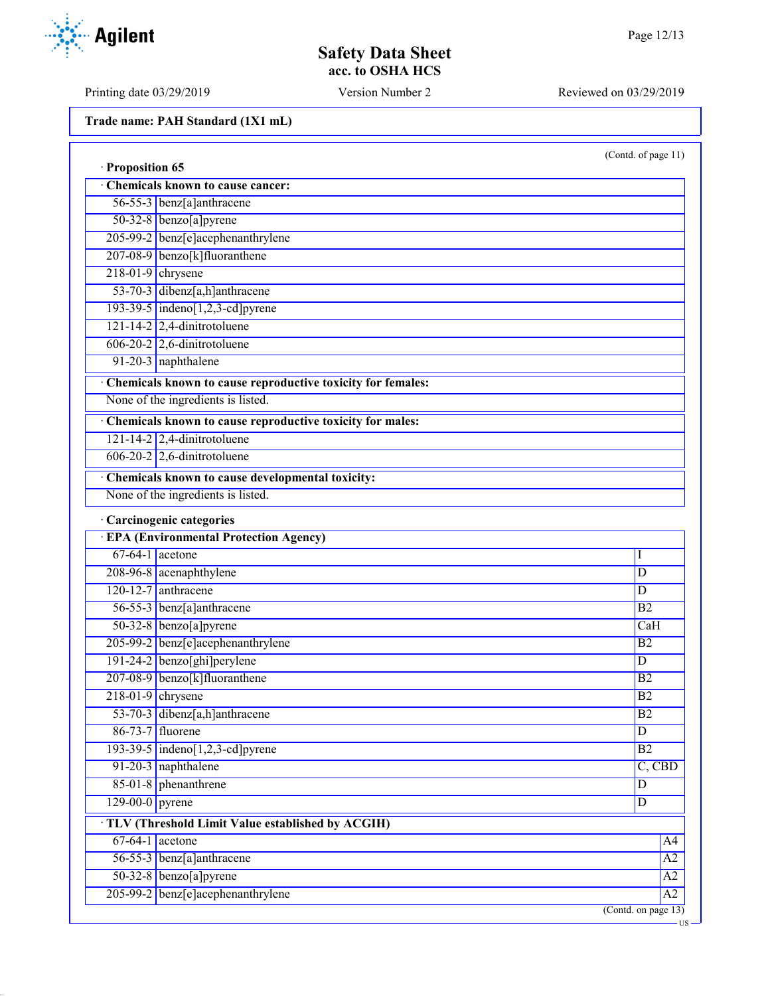Printing date 03/29/2019 Version Number 2 Reviewed on 03/29/2019

**Trade name: PAH Standard (1X1 mL)**

(Contd. of page 11)

US

| · Proposition 65  |                                                             |                     |  |
|-------------------|-------------------------------------------------------------|---------------------|--|
|                   | Chemicals known to cause cancer:                            |                     |  |
|                   | 56-55-3 benz[a]anthracene                                   |                     |  |
|                   | 50-32-8 benzo[a]pyrene                                      |                     |  |
|                   | 205-99-2 benz[e]acephenanthrylene                           |                     |  |
|                   | 207-08-9 benzo[k]fluoranthene                               |                     |  |
|                   | $218-01-9$ chrysene                                         |                     |  |
|                   | 53-70-3 dibenz[a,h]anthracene                               |                     |  |
|                   | 193-39-5 $indeno[1,2,3-cd]pyrene$                           |                     |  |
|                   | $121 - 14 - 2$ 2,4-dinitrotoluene                           |                     |  |
|                   | $606-20-2$ 2,6-dinitrotoluene                               |                     |  |
|                   | 91-20-3 naphthalene                                         |                     |  |
|                   | Chemicals known to cause reproductive toxicity for females: |                     |  |
|                   | None of the ingredients is listed.                          |                     |  |
|                   | Chemicals known to cause reproductive toxicity for males:   |                     |  |
|                   | $121 - 14 - 2$ 2,4-dinitrotoluene                           |                     |  |
|                   | $606-20-2$ 2,6-dinitrotoluene                               |                     |  |
|                   | Chemicals known to cause developmental toxicity:            |                     |  |
|                   | None of the ingredients is listed.                          |                     |  |
|                   | · Carcinogenic categories                                   |                     |  |
|                   | <b>EPA (Environmental Protection Agency)</b>                |                     |  |
|                   | $67-64-1$ acetone                                           | Ι                   |  |
|                   | 208-96-8 acenaphthylene                                     | D                   |  |
|                   | $120-12-7$ anthracene                                       | D                   |  |
|                   | 56-55-3 benz[a]anthracene                                   | B <sub>2</sub>      |  |
|                   | $50-32-8$ benzo[a]pyrene                                    | CaH                 |  |
|                   | 205-99-2 benz[e]acephenanthrylene                           | B2                  |  |
|                   | 191-24-2 benzo[ghi]perylene                                 | D                   |  |
|                   | 207-08-9 benzo[k]fluoranthene                               | B2                  |  |
|                   | $218-01-9$ chrysene                                         | B <sub>2</sub>      |  |
|                   | 53-70-3 dibenz[a,h]anthracene                               | B2                  |  |
|                   | 86-73-7 fluorene                                            | $\overline{D}$      |  |
|                   | $193-39-5$ indeno[1,2,3-cd] pyrene                          | <b>B2</b>           |  |
|                   | 91-20-3 naphthalene                                         | $C,$ CBD            |  |
|                   | 85-01-8 phenanthrene                                        | $\overline{D}$      |  |
| $129-00-0$ pyrene |                                                             | $\overline{D}$      |  |
|                   | TLV (Threshold Limit Value established by ACGIH)            |                     |  |
|                   | $67-64-1$ acetone                                           | A4                  |  |
|                   | 56-55-3 benz[a]anthracene                                   | $\overline{A2}$     |  |
|                   | $50-32-8$ benzo[a]pyrene                                    | $\overline{A2}$     |  |
|                   | 205-99-2 benz[e]acephenanthrylene                           | $\overline{A2}$     |  |
|                   |                                                             | (Contd. on page 13) |  |